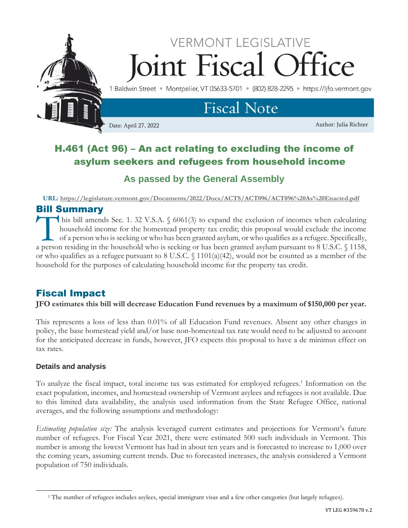

# H.461 (Act 96) – An act relating to excluding the income of asylum seekers and refugees from household income

## **As passed by the General Assembly**

**URL:<https://legislature.vermont.gov/Documents/2022/Docs/ACTS/ACT096/ACT096%20As%20Enacted.pdf>**

### Bill Summary

his bill amends Sec. 1. 32 V.S.A. § 6061(3) to expand the exclusion of incomes when calculating household income for the homestead property tax credit; this proposal would exclude the income of a person who is seeking or who has been granted asylum, or who qualifies as a refugee. Specifically, This bill amends Sec. 1. 32 V.S.A. § 6061(3) to expand the exclusion of incomes when calculating household income for the homestead property tax credit; this proposal would exclude the income of a person who is seeking or or who qualifies as a refugee pursuant to 8 U.S.C.  $\frac{1101(a)(42)}{20}$ , would not be counted as a member of the household for the purposes of calculating household income for the property tax credit.

### Fiscal Impact

**JFO estimates this bill will decrease Education Fund revenues by a maximum of \$150,000 per year.**

This represents a loss of less than 0.01% of all Education Fund revenues. Absent any other changes in policy, the base homestead yield and/or base non-homestead tax rate would need to be adjusted to account for the anticipated decrease in funds, however, JFO expects this proposal to have a de minimus effect on tax rates.

#### **Details and analysis**

To analyze the fiscal impact, total income tax was estimated for employed refugees.<sup>1</sup> Information on the exact population, incomes, and homestead ownership of Vermont asylees and refugees is not available. Due to this limited data availability, the analysis used information from the State Refugee Office, national averages, and the following assumptions and methodology:

*Estimating population size:* The analysis leveraged current estimates and projections for Vermont's future number of refugees. For Fiscal Year 2021, there were estimated 500 such individuals in Vermont. This number is among the lowest Vermont has had in about ten years and is forecasted to increase to 1,000 over the coming years, assuming current trends. Due to forecasted increases, the analysis considered a Vermont population of 750 individuals.

<sup>1</sup> The number of refugees includes asylees, special immigrant visas and a few other categories (but largely refugees).